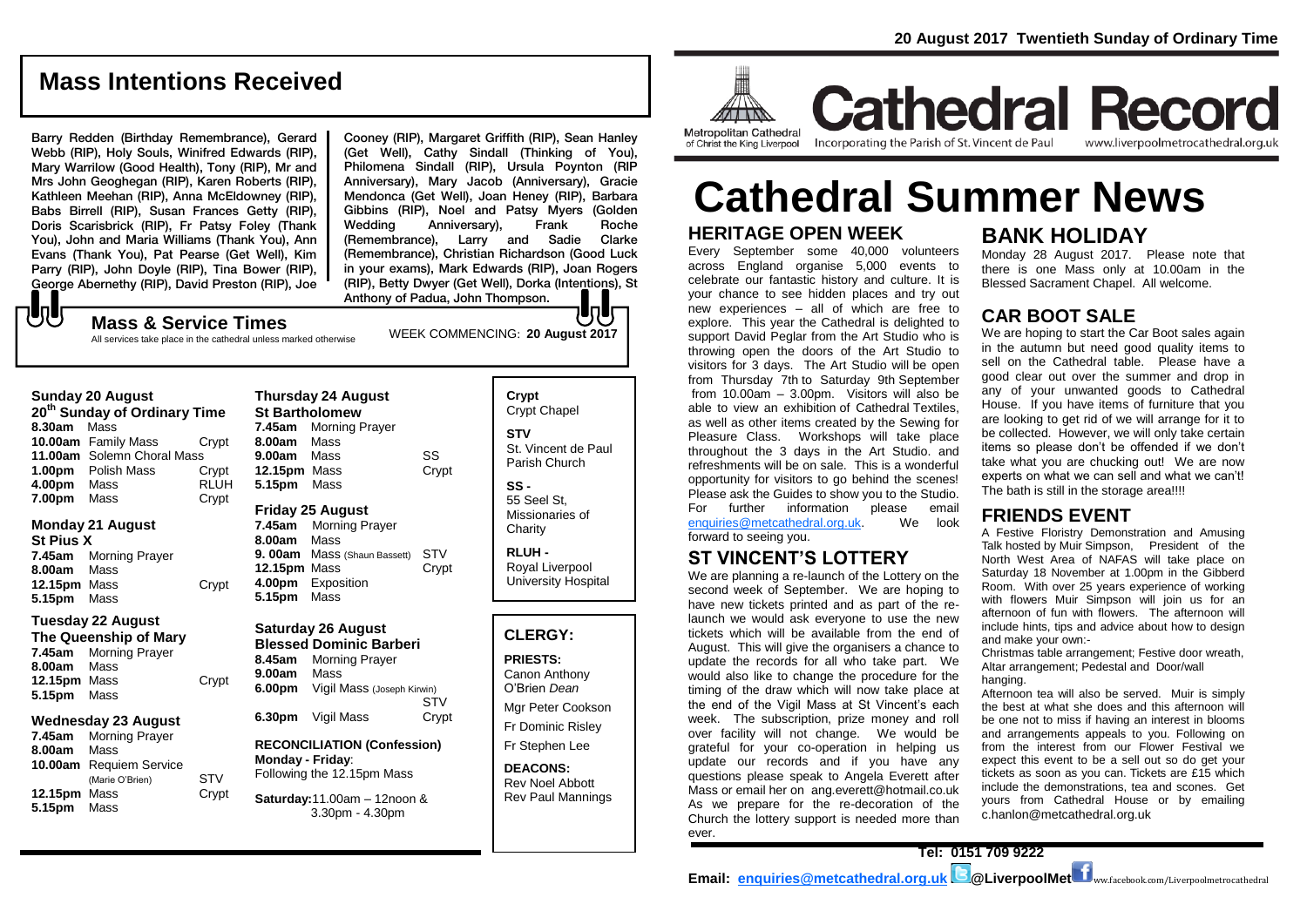# **Mass Intentions Received**

Barry Redden (Birthday Remembrance), Gerard Webb (RIP), Holy Souls, Winifred Edwards (RIP), Mary Warrilow (Good Health), Tony (RIP), Mr and Mrs John Geoghegan (RIP), Karen Roberts (RIP), Kathleen Meehan (RIP), Anna McEldowney (RIP), Babs Birrell (RIP), Susan Frances Getty (RIP), Doris Scarisbrick (RIP), Fr Patsy Foley (Thank You), John and Maria Williams (Thank You), Ann Evans (Thank You), Pat Pearse (Get Well), Kim Parry (RIP), John Doyle (RIP), Tina Bower (RIP), George Abernethy (RIP), David Preston (RIP), Joe

Cooney (RIP), Margaret Griffith (RIP), Sean Hanley (Get Well), Cathy Sindall (Thinking of You), Philomena Sindall (RIP), Ursula Poynton (RIP Anniversary), Mary Jacob (Anniversary), Gracie Mendonca (Get Well), Joan Heney (RIP), Barbara Gibbins (RIP), Noel and Patsy Myers (Golden Wedding Anniversary), Frank Roche (Remembrance), Larry and Sadie Clarke (Remembrance), Christian Richardson (Good Luck in your exams), Mark Edwards (RIP), Joan Rogers (RIP), Betty Dwyer (Get Well), Dorka (Intentions), St Anthony of Padua, John Thompson.

# もし

WEEK COMMENCING: **20 August 2017 Mass & Service Times** All services take place in the cathedral unless marked otherwise

#### **Sunday 20 August 20th Sunday of Ordinary Time 8.30am** Mass **10.00am** Family Mass Crypt **11.00am** Solemn Choral Mass **1.00pm** Polish Mass Crypt **4.00pm** Mass RLUH **7.00pm** Mass Crypt

#### **Monday 21 August**

**St Pius X 7.45am** Morning Prayer **8.00am** Mass **12.15pm** Mass Crypt **5.15pm** Mass

#### **Tuesday 22 August**

**The Queenship of Mary 7.45am** Morning Prayer **8.00am** Mass **12.15pm** Mass Crypt **5.15pm** Mass

#### **Wednesday 23 August**

**7.45am** Morning Prayer **8.00am** Mass **10.00am** Requiem Service (Marie O'Brien) STV **12.15pm** Mass Crypt **5.15pm** Mass

|              | <b>Thursday 24 August</b><br><b>St Bartholomew</b> |       |
|--------------|----------------------------------------------------|-------|
|              | 7.45am Morning Prayer                              |       |
| 8.00am Mass  |                                                    |       |
| 9.00am Mass  |                                                    | SS    |
| 12.15pm Mass |                                                    | Crypt |
| 5.15pm Mass  |                                                    |       |
|              | <b>Friday 25 August</b><br>$\sim$ $\sim$ $\sim$    |       |

**7.45am** Morning Prayer **8.00am** Mass **9. 00am** Mass (Shaun Bassett) STV **12.15pm** Mass Crypt **4.00pm** Exposition **5.15pm** Mass

## **Saturday 26 August**

**Blessed Dominic Barberi 8.45am** Morning Prayer **9.00am** Mass **6.00pm** Vigil Mass (Joseph Kirwin) **STV 6.30pm** Vigil Mass Crypt

#### **RECONCILIATION (Confession) Monday - Friday**: Following the 12.15pm Mass

**Saturday:**11.00am – 12noon & 3.30pm - 4.30pm

**Crypt**  Crypt Chapel **STV** St. Vincent de Paul Parish Church **SS -** 55 Seel St,

Missionaries of **Charity** 

**RLUH -** Royal Liverpool University Hospital

#### **CLERGY:**

**PRIESTS:**

Canon Anthony O'Brien *Dean* Mgr Peter Cookson Fr Dominic Risley

Fr Stephen Lee

**DEACONS:** Rev Noel Abbott Rev Paul Mannings



of Christ the King Liverpool

**Cathedral Record** Incorporating the Parish of St. Vincent de Paul www.liverpoolmetrocathedral.org.uk

# **HERITAGE OPEN WEEK Cathedral Summer News**

Every September some 40,000 volunteers across England organise 5,000 events to celebrate our fantastic history and culture. It is your chance to see hidden places and try out new experiences – all of which are free to explore. This year the Cathedral is delighted to support David Peglar from the Art Studio who is throwing open the doors of the Art Studio to visitors for 3 days. The Art Studio will be open from Thursday 7th to Saturday 9th September from 10.00am  $-$  3.00pm. Visitors will also be able to view an exhibition of Cathedral Textiles, as well as other items created by the Sewing for Pleasure Class. Workshops will take place throughout the 3 days in the Art Studio. and refreshments will be on sale. This is a wonderful opportunity for visitors to go behind the scenes! Please ask the Guides to show you to the Studio. For further information please email<br>enquiries@metcathedral.org.uk. We look  $enquiries@metcathedral.org.uk.$ forward to seeing you.

# **ST VINCENT'S LOTTERY**

We are planning a re-launch of the Lottery on the second week of September. We are hoping to have new tickets printed and as part of the relaunch we would ask everyone to use the new tickets which will be available from the end of August. This will give the organisers a chance to update the records for all who take part. We would also like to change the procedure for the timing of the draw which will now take place at the end of the Vigil Mass at St Vincent's each week. The subscription, prize money and roll over facility will not change. We would be grateful for your co-operation in helping us update our records and if you have any questions please speak to Angela Everett after Mass or email her on ang.everett@hotmail.co.uk As we prepare for the re-decoration of the Church the lottery support is needed more than ever.

# **BANK HOLIDAY**

Monday 28 August 2017. Please note that there is one Mass only at 10.00am in the Blessed Sacrament Chapel. All welcome.

# **CAR BOOT SALE**

We are hoping to start the Car Boot sales again in the autumn but need good quality items to sell on the Cathedral table. Please have a good clear out over the summer and drop in any of your unwanted goods to Cathedral House. If you have items of furniture that you are looking to get rid of we will arrange for it to be collected. However, we will only take certain items so please don't be offended if we don't take what you are chucking out! We are now experts on what we can sell and what we can't! The bath is still in the storage area!!!!

## **FRIENDS EVENT**

A Festive Floristry Demonstration and Amusing Talk hosted by Muir Simpson, President of the North West Area of NAFAS will take place on Saturday 18 November at 1.00pm in the Gibberd Room. With over 25 years experience of working with flowers Muir Simpson will join us for an afternoon of fun with flowers. The afternoon will include hints, tips and advice about how to design and make your own:-

Christmas table arrangement; Festive door wreath, Altar arrangement; Pedestal and Door/wall hanging.

Afternoon tea will also be served. Muir is simply the best at what she does and this afternoon will be one not to miss if having an interest in blooms and arrangements appeals to you. Following on from the interest from our Flower Festival we expect this event to be a sell out so do get your tickets as soon as you can. Tickets are £15 which include the demonstrations, tea and scones. Get yours from Cathedral House or by emailing c.hanlon@metcathedral.org.uk

**Email: [enquiries@metcathedral.org.uk](mailto:enquiries@metcathedral.org.uk) <b>B**@LiverpoolMet **f** ww.facebook.com/Liverpoolmetrocathedral

**Tel: 0151 709 9222**